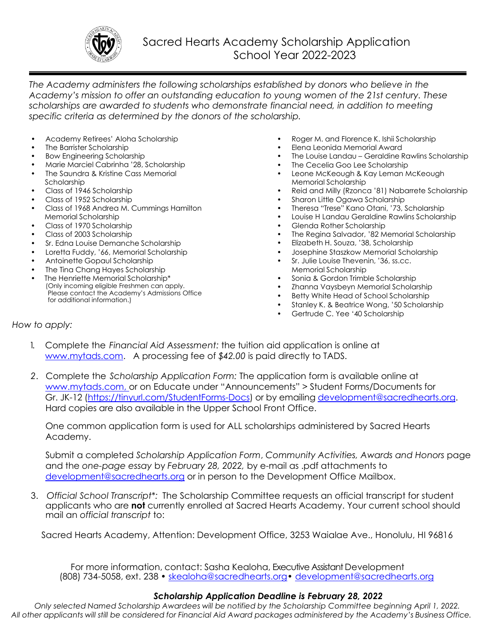

*The Academy administers the following scholarships established by donors who believe in the Academy's mission to offer an outstanding education to young women of the 21st century. These scholarships are awarded to students who demonstrate financial need, in addition to meeting specific criteria as determined by the donors of the scholarship.*

- Academy Retirees' Aloha Scholarship
- The Barrister Scholarship
- Bow Engineering Scholarship
- Marie Marciel Cabrinha '28, Scholarship
- The Saundra & Kristine Cass Memorial Scholarship
- Class of 1946 Scholarship
- Class of 1952 Scholarship
- Class of 1968 Andrea M. Cummings Hamilton Memorial Scholarship
- Class of 1970 Scholarship
- Class of 2003 Scholarship
- Sr. Edna Louise Demanche Scholarship
- Loretta Fuddy, '66, Memorial Scholarship
- Antoinette Gopaul Scholarship
- The Tina Chang Hayes Scholarship
- The Henriette Memorial Scholarship\* (Only incoming eligible Freshmen can apply. Please contact the Academy's Admissions Office for additional information.)
- Roger M. and Florence K. Ishii Scholarship
- Elena Leonida Memorial Award
- The Louise Landau Geraldine Rawlins Scholarship
- The Cecelia Goo Lee Scholarship
- Leone McKeough & Kay Leman McKeough Memorial Scholarship
- Reid and Milly (Rzonca '81) Nabarrete Scholarship
- Sharon Little Ogawa Scholarship
- Theresa "Trese" Kano Otani, '73, Scholarship
- Louise H Landau Geraldine Rawlins Scholarship
- Glenda Rother Scholarship
- The Regina Salvador, '82 Memorial Scholarship
- Elizabeth H. Souza, '38, Scholarship
- Josephine Staszkow Memorial Scholarship
- Sr. Julie Louise Thevenin, '36, ss.cc. Memorial Scholarship
- Sonia & Gordon Trimble Scholarship
- Zhanna Vaysbeyn Memorial Scholarship
- Betty White Head of School Scholarship
- Stanley K. & Beatrice Wong, '50 Scholarship
- Gertrude C. Yee '40 Scholarship

## *How to apply:*

- 1. Complete the *Financial Aid Assessment:* the tuition aid application is online at [www.mytads.com.](http://www.mytads.com/) A processing fee of *\$42.00* is paid directly to TADS.
- *2*. Complete the *Scholarship Application Form:* The application form is available online at www.mytads.com, or on Educate under "Announcements" > Student Forms/Documents for Gr. JK-12 [\(https://tinyurl.com/StudentForms-Docs\)](https://tinyurl.com/StudentForms-Docs) or by emailing [development@sacredhearts.org.](mailto:development@sacredhearts.org) Hard copies are also available in the Upper School Front Office.

One common application form is used for ALL scholarships administered by Sacred Hearts Academy.

Submit a completed *Scholarship Application Form*, *Community Activities, Awards and Honors* page and the *one-page essay* by *February 28, 2022,* by e-mail as .pdf attachments to [development@sacredhearts.org](mailto:development@sacredhearts.org) or in person to the Development Office Mailbox.

3. *Official School Transcript\*:* The Scholarship Committee requests an official transcript for student applicants who are **not** currently enrolled at Sacred Hearts Academy. Your current school should mail an *official transcript* to:

Sacred Hearts Academy, Attention: Development Office, 3253 Waialae Ave., Honolulu, HI 96816

For more information, contact: Sasha Kealoha, Executive Assistant Development (808) 734-5058, ext. 238 • [skealoha@sacredhearts.org](mailto:skealoha@sacredhearts.org) • development@sacredhearts.ora

## *Scholarship Application Deadline is February 28, 2022*

*Only selected Named Scholarship Awardees will be notified by the Scholarship Committee beginning April 1, 2022.* All other applicants will still be considered for Financial Aid Award packages administered by the Academy's Business Office.